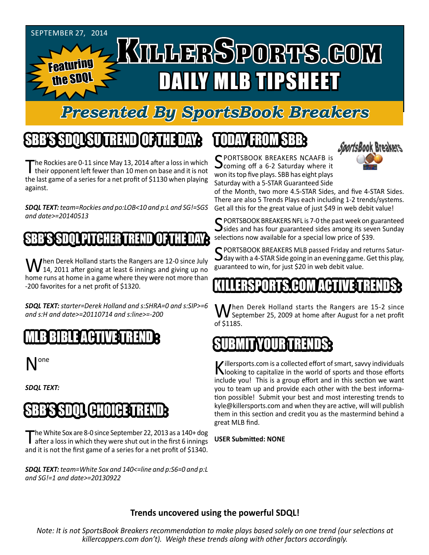

# *Presented By SportsBook Breakers*

# SBB'S SDQL SU TREND OF THE DAY:

The Rockies are 0-11 since May 13, 2014 after a loss in which<br>their opponent left fewer than 10 men on base and it is not the last game of a series for a net profit of \$1130 when playing against.

*SDQL TEXT: team=Rockies and po:LOB<10 and p:L and SG!=SGS and date>=20140513*

#### B'SSBSDQL PITCHHER TRENDIQL FITHE DAYS

When Derek Holland starts the Rangers are 12-0 since July<br>14, 2011 after going at least 6 innings and giving up no home runs at home in a game where they were not more than -200 favorites for a net profit of \$1320.

*SDQL TEXT: starter=Derek Holland and s:SHRA=0 and s:SIP>=6 and s:H and date>=20110714 and s:line>=-200*

# MLB BIBLE ACTIVE TRENDE

N<sup>one</sup>

*SDQL TEXT:* 

# BB'S SDOL(CHOICE)TRE

The White Sox are 8-0 since September 22, 2013 as a 140+ dog<br>after a loss in which they were shut out in the first 6 innings and it is not the first game of a series for a net profit of \$1340.

*SDQL TEXT: team=White Sox and 140<=line and p:S6=0 and p:L and SG!=1 and date>=20130922*

# TODAY HAOMSBB



SPORTSBOOK BREAKERS NCAAFB is<br>
Scoming off a 6-2 Saturday where it won its top five plays. SBB has eight plays Saturday with a 5-STAR Guaranteed Side

of the Month, two more 4.5-STAR Sides, and five 4-STAR Sides. There are also 5 Trends Plays each including 1-2 trends/systems. Get all this for the great value of just \$49 in web debit value!

SPORTSBOOK BREAKERS NFL is 7-0 the past week on guaranteed  $\bigcup$  sides and has four guaranteed sides among its seven Sunday selections now available for a special low price of \$39.

C PORTSBOOK BREAKERS MLB passed Friday and returns Satur- $\mathbf{\mathcal{S}}$ day with a 4-STAR Side going in an evening game. Get this play, guaranteed to win, for just \$20 in web debit value.

### KILLERSPORTS.COM ACTIVE TRENDS:

Then Derek Holland starts the Rangers are 15-2 since September 25, 2009 at home after August for a net profit of \$1185.

### TYOURT

Killersports.com is a collected effort of smart, savvy individuals<br>Nooking to capitalize in the world of sports and those efforts include you! This is a group effort and in this section we want you to team up and provide each other with the best information possible! Submit your best and most interesting trends to kyle@killersports.com and when they are active, will will publish them in this section and credit you as the mastermind behind a great MLB find.

#### **USER Submitted: NONE**

#### **Trends uncovered using the powerful SDQL!**

*Note: It is not SportsBook Breakers recommendation to make plays based solely on one trend (our selections at killercappers.com don't). Weigh these trends along with other factors accordingly.*